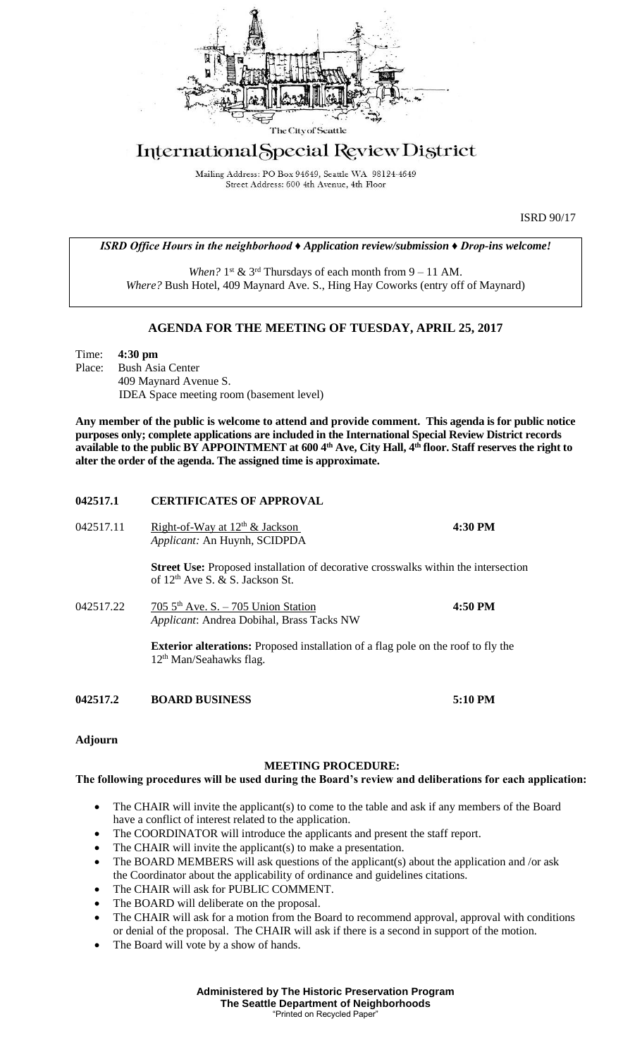

# International Special Review District

Mailing Address: PO Box 94649, Seattle WA 98124-4649 Street Address: 600 4th Avenue, 4th Floor

ISRD 90/17

*ISRD Office Hours in the neighborhood ♦ Application review/submission ♦ Drop-ins welcome!*

When?  $1^{st}$  &  $3^{rd}$  Thursdays of each month from  $9 - 11$  AM. *Where?* Bush Hotel, 409 Maynard Ave. S., Hing Hay Coworks (entry off of Maynard)

## **AGENDA FOR THE MEETING OF TUESDAY, APRIL 25, 2017**

Time: **4:30 pm** Place: Bush Asia Center 409 Maynard Avenue S. IDEA Space meeting room (basement level)

**Any member of the public is welcome to attend and provide comment. This agenda is for public notice purposes only; complete applications are included in the International Special Review District records available to the public BY APPOINTMENT at 600 4th Ave, City Hall, 4th floor. Staff reserves the right to alter the order of the agenda. The assigned time is approximate.** 

## **042517.1 CERTIFICATES OF APPROVAL**

| 042517.11 | Right-of-Way at $12th$ & Jackson<br>Applicant: An Huynh, SCIDPDA                                                                         | 4:30 PM   |
|-----------|------------------------------------------------------------------------------------------------------------------------------------------|-----------|
|           | <b>Street Use:</b> Proposed installation of decorative crosswalks within the intersection<br>of 12 <sup>th</sup> Ave S, & S, Jackson St. |           |
| 042517.22 | 705 $5th$ Ave. S. - 705 Union Station<br>Applicant: Andrea Dobihal, Brass Tacks NW                                                       | 4:50 PM   |
|           | <b>Exterior alterations:</b> Proposed installation of a flag pole on the roof to fly the<br>12 <sup>th</sup> Man/Seahawks flag.          |           |
| 042517.2  | <b>BOARD BUSINESS</b>                                                                                                                    | $5:10$ PM |

**Adjourn**

#### **MEETING PROCEDURE:**

#### **The following procedures will be used during the Board's review and deliberations for each application:**

- The CHAIR will invite the applicant(s) to come to the table and ask if any members of the Board have a conflict of interest related to the application.
- The COORDINATOR will introduce the applicants and present the staff report.
- The CHAIR will invite the applicant(s) to make a presentation.
- The BOARD MEMBERS will ask questions of the applicant(s) about the application and /or ask the Coordinator about the applicability of ordinance and guidelines citations.
- The CHAIR will ask for PUBLIC COMMENT.
- The BOARD will deliberate on the proposal.
- The CHAIR will ask for a motion from the Board to recommend approval, approval with conditions or denial of the proposal. The CHAIR will ask if there is a second in support of the motion.
- The Board will vote by a show of hands.